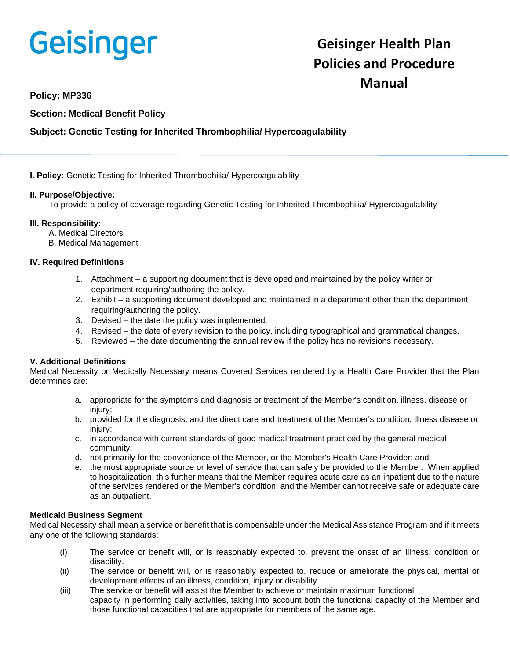# **Geisinger**

# **Geisinger Health Plan Policies and Procedure Manual**

### **Policy: MP336**

**Section: Medical Benefit Policy**

## **Subject: Genetic Testing for Inherited Thrombophilia/ Hypercoagulability**

**I. Policy:** Genetic Testing for Inherited Thrombophilia/ Hypercoagulability

#### **II. Purpose/Objective:**

To provide a policy of coverage regarding Genetic Testing for Inherited Thrombophilia/ Hypercoagulability

#### **III. Responsibility:**

- A. Medical Directors
- B. Medical Management

#### **IV. Required Definitions**

- 1. Attachment a supporting document that is developed and maintained by the policy writer or department requiring/authoring the policy.
- 2. Exhibit a supporting document developed and maintained in a department other than the department requiring/authoring the policy.
- 3. Devised the date the policy was implemented.
- 4. Revised the date of every revision to the policy, including typographical and grammatical changes.
- 5. Reviewed the date documenting the annual review if the policy has no revisions necessary.

#### **V. Additional Definitions**

Medical Necessity or Medically Necessary means Covered Services rendered by a Health Care Provider that the Plan determines are:

- a. appropriate for the symptoms and diagnosis or treatment of the Member's condition, illness, disease or injury:
- b. provided for the diagnosis, and the direct care and treatment of the Member's condition, illness disease or injury:
- c. in accordance with current standards of good medical treatment practiced by the general medical community.
- d. not primarily for the convenience of the Member, or the Member's Health Care Provider; and
- e. the most appropriate source or level of service that can safely be provided to the Member. When applied to hospitalization, this further means that the Member requires acute care as an inpatient due to the nature of the services rendered or the Member's condition, and the Member cannot receive safe or adequate care as an outpatient.

#### **Medicaid Business Segment**

Medical Necessity shall mean a service or benefit that is compensable under the Medical Assistance Program and if it meets any one of the following standards:

- (i) The service or benefit will, or is reasonably expected to, prevent the onset of an illness, condition or disability.
- (ii) The service or benefit will, or is reasonably expected to, reduce or ameliorate the physical, mental or development effects of an illness, condition, injury or disability.
- (iii) The service or benefit will assist the Member to achieve or maintain maximum functional capacity in performing daily activities, taking into account both the functional capacity of the Member and those functional capacities that are appropriate for members of the same age.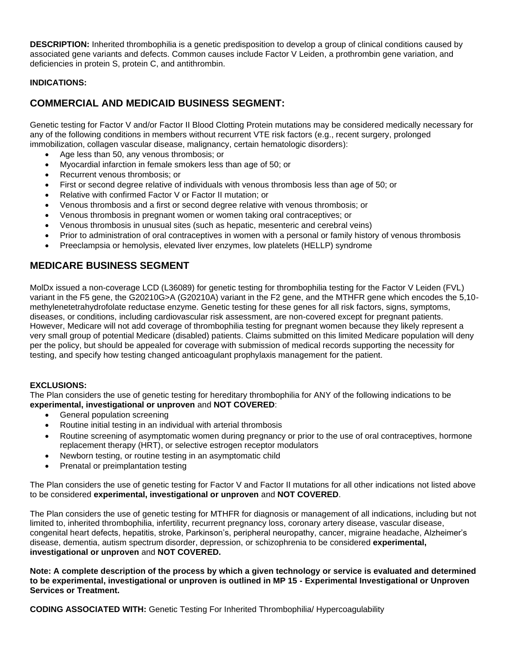**DESCRIPTION:** Inherited thrombophilia is a genetic predisposition to develop a group of clinical conditions caused by associated gene variants and defects. Common causes include Factor V Leiden, a prothrombin gene variation, and deficiencies in protein S, protein C, and antithrombin.

#### **INDICATIONS:**

# **COMMERCIAL AND MEDICAID BUSINESS SEGMENT:**

Genetic testing for Factor V and/or Factor II Blood Clotting Protein mutations may be considered medically necessary for any of the following conditions in members without recurrent VTE risk factors (e.g., recent surgery, prolonged immobilization, collagen vascular disease, malignancy, certain hematologic disorders):

- Age less than 50, any venous thrombosis; or
- Myocardial infarction in female smokers less than age of 50; or
- Recurrent venous thrombosis; or
- First or second degree relative of individuals with venous thrombosis less than age of 50; or
- Relative with confirmed Factor V or Factor II mutation; or
- Venous thrombosis and a first or second degree relative with venous thrombosis; or
- Venous thrombosis in pregnant women or women taking oral contraceptives; or
- Venous thrombosis in unusual sites (such as hepatic, mesenteric and cerebral veins)
- Prior to administration of oral contraceptives in women with a personal or family history of venous thrombosis
- Preeclampsia or hemolysis, elevated liver enzymes, low platelets (HELLP) syndrome

# **MEDICARE BUSINESS SEGMENT**

MolDx issued a non-coverage LCD (L36089) for genetic testing for thrombophilia testing for the Factor V Leiden (FVL) variant in the F5 gene, the G20210G>A (G20210A) variant in the F2 gene, and the MTHFR gene which encodes the 5,10 methylenetetrahydrofolate reductase enzyme. Genetic testing for these genes for all risk factors, signs, symptoms, diseases, or conditions, including cardiovascular risk assessment, are non-covered except for pregnant patients. However, Medicare will not add coverage of thrombophilia testing for pregnant women because they likely represent a very small group of potential Medicare (disabled) patients. Claims submitted on this limited Medicare population will deny per the policy, but should be appealed for coverage with submission of medical records supporting the necessity for testing, and specify how testing changed anticoagulant prophylaxis management for the patient.

#### **EXCLUSIONS:**

The Plan considers the use of genetic testing for hereditary thrombophilia for ANY of the following indications to be **experimental, investigational or unproven** and **NOT COVERED**:

- General population screening
- Routine initial testing in an individual with arterial thrombosis
- Routine screening of asymptomatic women during pregnancy or prior to the use of oral contraceptives, hormone replacement therapy (HRT), or selective estrogen receptor modulators
- Newborn testing, or routine testing in an asymptomatic child
- Prenatal or preimplantation testing

The Plan considers the use of genetic testing for Factor V and Factor II mutations for all other indications not listed above to be considered **experimental, investigational or unproven** and **NOT COVERED**.

The Plan considers the use of genetic testing for MTHFR for diagnosis or management of all indications, including but not limited to, inherited thrombophilia, infertility, recurrent pregnancy loss, coronary artery disease, vascular disease, congenital heart defects, hepatitis, stroke, Parkinson's, peripheral neuropathy, cancer, migraine headache, Alzheimer's disease, dementia, autism spectrum disorder, depression, or schizophrenia to be considered **experimental, investigational or unproven** and **NOT COVERED.**

**Note: A complete description of the process by which a given technology or service is evaluated and determined to be experimental, investigational or unproven is outlined in MP 15 - Experimental Investigational or Unproven Services or Treatment.**

**CODING ASSOCIATED WITH:** Genetic Testing For Inherited Thrombophilia/ Hypercoagulability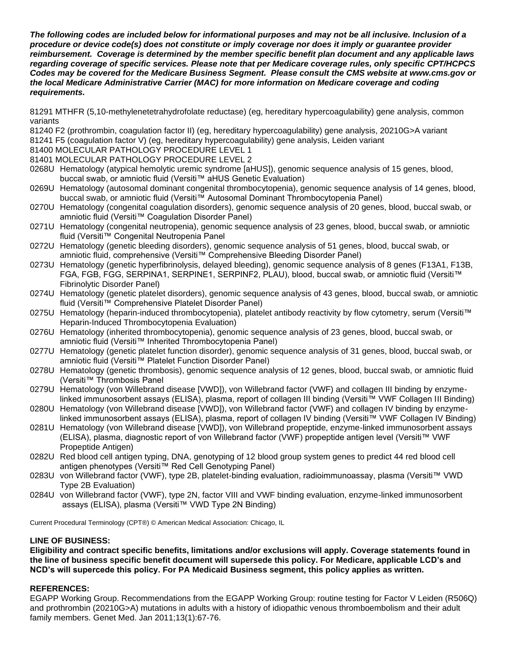*The following codes are included below for informational purposes and may not be all inclusive. Inclusion of a procedure or device code(s) does not constitute or imply coverage nor does it imply or guarantee provider reimbursement. Coverage is determined by the member specific benefit plan document and any applicable laws regarding coverage of specific services. Please note that per Medicare coverage rules, only specific CPT/HCPCS Codes may be covered for the Medicare Business Segment. Please consult the CMS website at www.cms.gov or the local Medicare Administrative Carrier (MAC) for more information on Medicare coverage and coding requirements.*

81291 MTHFR (5,10-methylenetetrahydrofolate reductase) (eg, hereditary hypercoagulability) gene analysis, common variants

81240 F2 (prothrombin, coagulation factor II) (eg, hereditary hypercoagulability) gene analysis, 20210G>A variant

81241 F5 (coagulation factor V) (eg, hereditary hypercoagulability) gene analysis, Leiden variant

- 81400 MOLECULAR PATHOLOGY PROCEDURE LEVEL 1
- 81401 MOLECULAR PATHOLOGY PROCEDURE LEVEL 2
- 0268U Hematology (atypical hemolytic uremic syndrome [aHUS]), genomic sequence analysis of 15 genes, blood, buccal swab, or amniotic fluid (Versiti™ aHUS Genetic Evaluation)
- 0269U Hematology (autosomal dominant congenital thrombocytopenia), genomic sequence analysis of 14 genes, blood, buccal swab, or amniotic fluid (Versiti™ Autosomal Dominant Thrombocytopenia Panel)
- 0270U Hematology (congenital coagulation disorders), genomic sequence analysis of 20 genes, blood, buccal swab, or amniotic fluid (Versiti™ Coagulation Disorder Panel)
- 0271U Hematology (congenital neutropenia), genomic sequence analysis of 23 genes, blood, buccal swab, or amniotic fluid (Versiti™ Congenital Neutropenia Panel
- 0272U Hematology (genetic bleeding disorders), genomic sequence analysis of 51 genes, blood, buccal swab, or amniotic fluid, comprehensive (Versiti™ Comprehensive Bleeding Disorder Panel)
- 0273U Hematology (genetic hyperfibrinolysis, delayed bleeding), genomic sequence analysis of 8 genes (F13A1, F13B, FGA, FGB, FGG, SERPINA1, SERPINE1, SERPINF2, PLAU), blood, buccal swab, or amniotic fluid (Versiti™ Fibrinolytic Disorder Panel)
- 0274U Hematology (genetic platelet disorders), genomic sequence analysis of 43 genes, blood, buccal swab, or amniotic fluid (Versiti™ Comprehensive Platelet Disorder Panel)
- 0275U Hematology (heparin-induced thrombocytopenia), platelet antibody reactivity by flow cytometry, serum (Versiti™ Heparin-Induced Thrombocytopenia Evaluation)
- 0276U Hematology (inherited thrombocytopenia), genomic sequence analysis of 23 genes, blood, buccal swab, or amniotic fluid (Versiti™ Inherited Thrombocytopenia Panel)
- 0277U Hematology (genetic platelet function disorder), genomic sequence analysis of 31 genes, blood, buccal swab, or amniotic fluid (Versiti™ Platelet Function Disorder Panel)
- 0278U Hematology (genetic thrombosis), genomic sequence analysis of 12 genes, blood, buccal swab, or amniotic fluid (Versiti™ Thrombosis Panel
- 0279U Hematology (von Willebrand disease [VWD]), von Willebrand factor (VWF) and collagen III binding by enzymelinked immunosorbent assays (ELISA), plasma, report of collagen III binding (Versiti™ VWF Collagen III Binding)
- 0280U Hematology (von Willebrand disease [VWD]), von Willebrand factor (VWF) and collagen IV binding by enzymelinked immunosorbent assays (ELISA), plasma, report of collagen IV binding (Versiti™ VWF Collagen IV Binding)
- 0281U Hematology (von Willebrand disease [VWD]), von Willebrand propeptide, enzyme-linked immunosorbent assays (ELISA), plasma, diagnostic report of von Willebrand factor (VWF) propeptide antigen level (Versiti™ VWF Propeptide Antigen)
- 0282U Red blood cell antigen typing, DNA, genotyping of 12 blood group system genes to predict 44 red blood cell antigen phenotypes (Versiti™ Red Cell Genotyping Panel)
- 0283U von Willebrand factor (VWF), type 2B, platelet-binding evaluation, radioimmunoassay, plasma (Versiti™ VWD Type 2B Evaluation)
- 0284U von Willebrand factor (VWF), type 2N, factor VIII and VWF binding evaluation, enzyme-linked immunosorbent assays (ELISA), plasma (Versiti™ VWD Type 2N Binding)

Current Procedural Terminology (CPT®) © American Medical Association: Chicago, IL

#### **LINE OF BUSINESS:**

**Eligibility and contract specific benefits, limitations and/or exclusions will apply. Coverage statements found in the line of business specific benefit document will supersede this policy. For Medicare, applicable LCD's and NCD's will supercede this policy. For PA Medicaid Business segment, this policy applies as written.**

#### **REFERENCES:**

EGAPP Working Group. Recommendations from the EGAPP Working Group: routine testing for Factor V Leiden (R506Q) and prothrombin (20210G>A) mutations in adults with a history of idiopathic venous thromboembolism and their adult family members. Genet Med. Jan 2011;13(1):67-76.